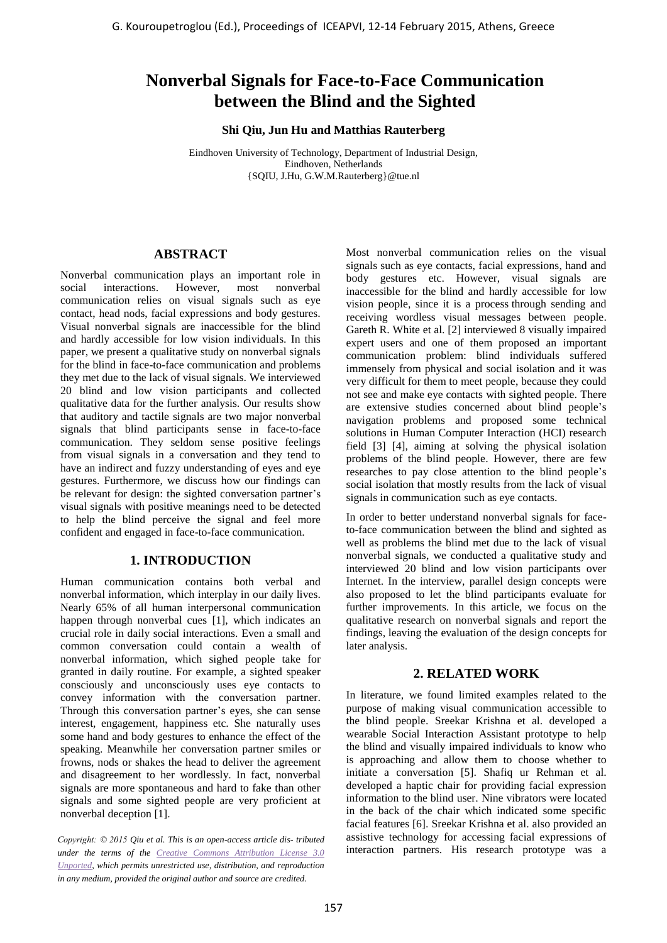# **Nonverbal Signals for Face-to-Face Communication between the Blind and the Sighted**

**Shi Qiu, Jun Hu and Matthias Rauterberg** 

Eindhoven University of Technology, Department of Industrial Design, Eindhoven, Netherlands {SQIU, J.Hu, G.W.M.Rauterberg}@tue.nl

### **ABSTRACT**

Nonverbal communication plays an important role in social interactions. However, most nonverbal communication relies on visual signals such as eye contact, head nods, facial expressions and body gestures. Visual nonverbal signals are inaccessible for the blind and hardly accessible for low vision individuals. In this paper, we present a qualitative study on nonverbal signals for the blind in face-to-face communication and problems they met due to the lack of visual signals. We interviewed 20 blind and low vision participants and collected qualitative data for the further analysis. Our results show that auditory and tactile signals are two major nonverbal signals that blind participants sense in face-to-face communication. They seldom sense positive feelings from visual signals in a conversation and they tend to have an indirect and fuzzy understanding of eyes and eye gestures. Furthermore, we discuss how our findings can be relevant for design: the sighted conversation partner's visual signals with positive meanings need to be detected to help the blind perceive the signal and feel more confident and engaged in face-to-face communication. G. Kouroupetroglou (Ed.), Proceedings of ICEAPVI, 12-14 February 2015, Athens, Greece 167 Nonverband Determines and the **Control and the Control and the Control and the Control and the Control and the Control and the Cont** 

# **1. INTRODUCTION**

Human communication contains both verbal and nonverbal information, which interplay in our daily lives. Nearly 65% of all human interpersonal communication happen through nonverbal cues [1], which indicates an crucial role in daily social interactions. Even a small and common conversation could contain a wealth of nonverbal information, which sighed people take for granted in daily routine. For example, a sighted speaker consciously and unconsciously uses eye contacts to convey information with the conversation partner. Through this conversation partner's eyes, she can sense interest, engagement, happiness etc. She naturally uses some hand and body gestures to enhance the effect of the speaking. Meanwhile her conversation partner smiles or frowns, nods or shakes the head to deliver the agreement and disagreement to her wordlessly. In fact, nonverbal signals are more spontaneous and hard to fake than other signals and some sighted people are very proficient at nonverbal deception [1].

*Copyright: © 2015 Qiu et al. This is an open-access article dis- tributed under the terms of the Creative Commons Attribution License 3.0 [Unported,](http://creativecommons.org/licenses/by/3.0/) which permits unrestricted use, distribution, and reproduction in any medium, provided the original author and source are credited.*

Most nonverbal communication relies on the visual signals such as eye contacts, facial expressions, hand and body gestures etc. However, visual signals are inaccessible for the blind and hardly accessible for low vision people, since it is a process through sending and receiving wordless visual messages between people. Gareth R. White et al. [2] interviewed 8 visually impaired expert users and one of them proposed an important communication problem: blind individuals suffered immensely from physical and social isolation and it was very difficult for them to meet people, because they could not see and make eye contacts with sighted people. There are extensive studies concerned about blind people's navigation problems and proposed some technical solutions in Human Computer Interaction (HCI) research field [3] [4], aiming at solving the physical isolation problems of the blind people. However, there are few researches to pay close attention to the blind people's social isolation that mostly results from the lack of visual signals in communication such as eye contacts.

In order to better understand nonverbal signals for faceto-face communication between the blind and sighted as well as problems the blind met due to the lack of visual nonverbal signals, we conducted a qualitative study and interviewed 20 blind and low vision participants over Internet. In the interview, parallel design concepts were also proposed to let the blind participants evaluate for further improvements. In this article, we focus on the qualitative research on nonverbal signals and report the findings, leaving the evaluation of the design concepts for later analysis.

# **2. RELATED WORK**

In literature, we found limited examples related to the purpose of making visual communication accessible to the blind people. Sreekar Krishna et al. developed a wearable Social Interaction Assistant prototype to help the blind and visually impaired individuals to know who is approaching and allow them to choose whether to initiate a conversation [5]. Shafiq ur Rehman et al. developed a haptic chair for providing facial expression information to the blind user. Nine vibrators were located in the back of the chair which indicated some specific facial features [6]. Sreekar Krishna et al. also provided an assistive technology for accessing facial expressions of interaction partners. His research prototype was a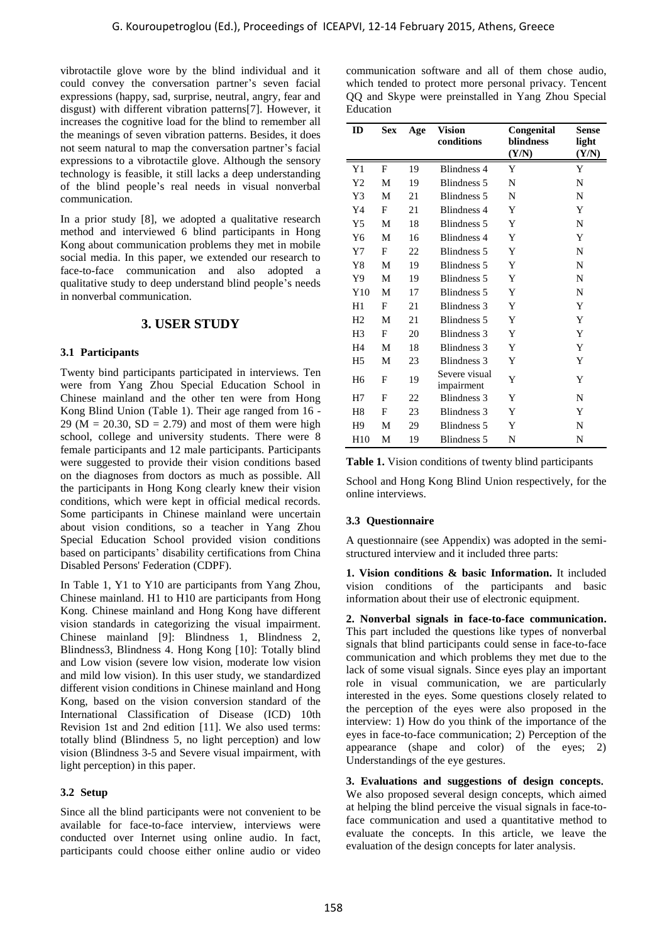vibrotactile glove wore by the blind individual and it could convey the conversation partner's seven facial expressions (happy, sad, surprise, neutral, angry, fear and disgust) with different vibration patterns[7]. However, it increases the cognitive load for the blind to remember all the meanings of seven vibration patterns. Besides, it does not seem natural to map the conversation partner's facial expressions to a vibrotactile glove. Although the sensory technology is feasible, it still lacks a deep understanding of the blind people's real needs in visual nonverbal communication.

In a prior study [8], we adopted a qualitative research method and interviewed 6 blind participants in Hong Kong about communication problems they met in mobile social media. In this paper, we extended our research to face-to-face communication and also adopted a qualitative study to deep understand blind people's needs in nonverbal communication.

### **3. USER STUDY**

#### **3.1 Participants**

Twenty bind participants participated in interviews. Ten were from Yang Zhou Special Education School in Chinese mainland and the other ten were from Hong Kong Blind Union (Table 1). Their age ranged from 16 - 29 ( $M = 20.30$ ,  $SD = 2.79$ ) and most of them were high school, college and university students. There were 8 female participants and 12 male participants. Participants were suggested to provide their vision conditions based on the diagnoses from doctors as much as possible. All the participants in Hong Kong clearly knew their vision conditions, which were kept in official medical records. Some participants in Chinese mainland were uncertain about vision conditions, so a teacher in Yang Zhou Special Education School provided vision conditions based on participants' disability certifications from China Disabled Persons' Federation (CDPF).

In Table 1, Y1 to Y10 are participants from Yang Zhou, Chinese mainland. H1 to H10 are participants from Hong Kong. Chinese mainland and Hong Kong have different vision standards in categorizing the visual impairment. Chinese mainland [9]: Blindness 1, Blindness 2, Blindness3, Blindness 4. Hong Kong [10]: Totally blind and Low vision (severe low vision, moderate low vision and mild low vision). In this user study, we standardized different vision conditions in Chinese mainland and Hong Kong, based on the vision conversion standard of the International Classification of Disease (ICD) 10th Revision 1st and 2nd edition [11]. We also used terms: totally blind (Blindness 5, no light perception) and low vision (Blindness 3-5 and Severe visual impairment, with light perception) in this paper.

#### **3.2 Setup**

Since all the blind participants were not convenient to be available for face-to-face interview, interviews were conducted over Internet using online audio. In fact, participants could choose either online audio or video

| communication software and all of them chose audio,    |
|--------------------------------------------------------|
| which tended to protect more personal privacy. Tencent |
| OO and Skype were preinstalled in Yang Zhou Special    |
| Education                                              |

| glove wore by the blind individual and it<br>rey the conversation partner's seven facial<br>(happy, sad, surprise, neutral, angry, fear and<br>th different vibration patterns[7]. However, it                                                                                                                                                                                                                                                                                                                                                                                                                                                                                                                                                                                                                                                                                                              | communication software and all of them chose audio,<br>which tended to protect more personal privacy. Tencent<br>QQ and Skype were preinstalled in Yang Zhou Special<br>Education                                                                                                                                                                                                                                                                                                                                                                                                                                                                                                                                                                                                                                                                                         |                           |          |                                                                                                                                                                                                                                                                                                                                                                                                                                                                                                                                                                                                                            |                                  |                                |
|-------------------------------------------------------------------------------------------------------------------------------------------------------------------------------------------------------------------------------------------------------------------------------------------------------------------------------------------------------------------------------------------------------------------------------------------------------------------------------------------------------------------------------------------------------------------------------------------------------------------------------------------------------------------------------------------------------------------------------------------------------------------------------------------------------------------------------------------------------------------------------------------------------------|---------------------------------------------------------------------------------------------------------------------------------------------------------------------------------------------------------------------------------------------------------------------------------------------------------------------------------------------------------------------------------------------------------------------------------------------------------------------------------------------------------------------------------------------------------------------------------------------------------------------------------------------------------------------------------------------------------------------------------------------------------------------------------------------------------------------------------------------------------------------------|---------------------------|----------|----------------------------------------------------------------------------------------------------------------------------------------------------------------------------------------------------------------------------------------------------------------------------------------------------------------------------------------------------------------------------------------------------------------------------------------------------------------------------------------------------------------------------------------------------------------------------------------------------------------------------|----------------------------------|--------------------------------|
| e cognitive load for the blind to remember all<br>gs of seven vibration patterns. Besides, it does<br>atural to map the conversation partner's facial                                                                                                                                                                                                                                                                                                                                                                                                                                                                                                                                                                                                                                                                                                                                                       | ID                                                                                                                                                                                                                                                                                                                                                                                                                                                                                                                                                                                                                                                                                                                                                                                                                                                                        | <b>Sex</b>                | Age      | <b>Vision</b><br>conditions                                                                                                                                                                                                                                                                                                                                                                                                                                                                                                                                                                                                | Congenital<br>blindness<br>(Y/N) | <b>Sense</b><br>light<br>(Y/N) |
| to a vibrotactile glove. Although the sensory<br>is feasible, it still lacks a deep understanding                                                                                                                                                                                                                                                                                                                                                                                                                                                                                                                                                                                                                                                                                                                                                                                                           | Y1                                                                                                                                                                                                                                                                                                                                                                                                                                                                                                                                                                                                                                                                                                                                                                                                                                                                        | $_{\rm F}$                | 19       | <b>Blindness 4</b>                                                                                                                                                                                                                                                                                                                                                                                                                                                                                                                                                                                                         | Y                                | Y                              |
| ad people's real needs in visual nonverbal                                                                                                                                                                                                                                                                                                                                                                                                                                                                                                                                                                                                                                                                                                                                                                                                                                                                  | Y <sub>2</sub>                                                                                                                                                                                                                                                                                                                                                                                                                                                                                                                                                                                                                                                                                                                                                                                                                                                            | M                         | 19       | Blindness 5                                                                                                                                                                                                                                                                                                                                                                                                                                                                                                                                                                                                                | ${\bf N}$                        | N                              |
| tion.                                                                                                                                                                                                                                                                                                                                                                                                                                                                                                                                                                                                                                                                                                                                                                                                                                                                                                       | Y3                                                                                                                                                                                                                                                                                                                                                                                                                                                                                                                                                                                                                                                                                                                                                                                                                                                                        | M                         | 21       | Blindness 5                                                                                                                                                                                                                                                                                                                                                                                                                                                                                                                                                                                                                | ${\bf N}$                        | N                              |
| study [8], we adopted a qualitative research                                                                                                                                                                                                                                                                                                                                                                                                                                                                                                                                                                                                                                                                                                                                                                                                                                                                | Y4                                                                                                                                                                                                                                                                                                                                                                                                                                                                                                                                                                                                                                                                                                                                                                                                                                                                        | $_{\rm F}$                | 21       | <b>Blindness 4</b>                                                                                                                                                                                                                                                                                                                                                                                                                                                                                                                                                                                                         | Y                                | Y                              |
| d interviewed 6 blind participants in Hong                                                                                                                                                                                                                                                                                                                                                                                                                                                                                                                                                                                                                                                                                                                                                                                                                                                                  | Y <sub>5</sub>                                                                                                                                                                                                                                                                                                                                                                                                                                                                                                                                                                                                                                                                                                                                                                                                                                                            | M                         | 18       | Blindness 5                                                                                                                                                                                                                                                                                                                                                                                                                                                                                                                                                                                                                | Y                                | N                              |
| communication problems they met in mobile                                                                                                                                                                                                                                                                                                                                                                                                                                                                                                                                                                                                                                                                                                                                                                                                                                                                   | Y <sub>6</sub>                                                                                                                                                                                                                                                                                                                                                                                                                                                                                                                                                                                                                                                                                                                                                                                                                                                            | M                         | 16       | <b>Blindness 4</b>                                                                                                                                                                                                                                                                                                                                                                                                                                                                                                                                                                                                         | Y                                | Y                              |
| a. In this paper, we extended our research to                                                                                                                                                                                                                                                                                                                                                                                                                                                                                                                                                                                                                                                                                                                                                                                                                                                               | Y7<br>$\rm Y8$                                                                                                                                                                                                                                                                                                                                                                                                                                                                                                                                                                                                                                                                                                                                                                                                                                                            | F<br>M                    | 22<br>19 | Blindness 5<br>Blindness 5                                                                                                                                                                                                                                                                                                                                                                                                                                                                                                                                                                                                 | Y<br>Y                           | N<br>N                         |
| communication<br>and<br>also<br>adopted<br>a                                                                                                                                                                                                                                                                                                                                                                                                                                                                                                                                                                                                                                                                                                                                                                                                                                                                | Y9                                                                                                                                                                                                                                                                                                                                                                                                                                                                                                                                                                                                                                                                                                                                                                                                                                                                        | M                         | 19       | Blindness 5                                                                                                                                                                                                                                                                                                                                                                                                                                                                                                                                                                                                                | Y                                | N                              |
| study to deep understand blind people's needs                                                                                                                                                                                                                                                                                                                                                                                                                                                                                                                                                                                                                                                                                                                                                                                                                                                               | Y10                                                                                                                                                                                                                                                                                                                                                                                                                                                                                                                                                                                                                                                                                                                                                                                                                                                                       | M                         | 17       | Blindness 5                                                                                                                                                                                                                                                                                                                                                                                                                                                                                                                                                                                                                | Y                                | N                              |
| l communication.                                                                                                                                                                                                                                                                                                                                                                                                                                                                                                                                                                                                                                                                                                                                                                                                                                                                                            | H1                                                                                                                                                                                                                                                                                                                                                                                                                                                                                                                                                                                                                                                                                                                                                                                                                                                                        | F                         | 21       | <b>Blindness 3</b>                                                                                                                                                                                                                                                                                                                                                                                                                                                                                                                                                                                                         | Y                                | Y                              |
| <b>3. USER STUDY</b>                                                                                                                                                                                                                                                                                                                                                                                                                                                                                                                                                                                                                                                                                                                                                                                                                                                                                        | H2                                                                                                                                                                                                                                                                                                                                                                                                                                                                                                                                                                                                                                                                                                                                                                                                                                                                        | M                         | 21       | Blindness 5                                                                                                                                                                                                                                                                                                                                                                                                                                                                                                                                                                                                                | Y                                | Y                              |
|                                                                                                                                                                                                                                                                                                                                                                                                                                                                                                                                                                                                                                                                                                                                                                                                                                                                                                             | H <sub>3</sub>                                                                                                                                                                                                                                                                                                                                                                                                                                                                                                                                                                                                                                                                                                                                                                                                                                                            | F                         | 20       | Blindness 3                                                                                                                                                                                                                                                                                                                                                                                                                                                                                                                                                                                                                | Y                                | Y                              |
| pants                                                                                                                                                                                                                                                                                                                                                                                                                                                                                                                                                                                                                                                                                                                                                                                                                                                                                                       | H <sub>4</sub>                                                                                                                                                                                                                                                                                                                                                                                                                                                                                                                                                                                                                                                                                                                                                                                                                                                            | M                         | 18       | Blindness 3                                                                                                                                                                                                                                                                                                                                                                                                                                                                                                                                                                                                                | Y                                | Y                              |
|                                                                                                                                                                                                                                                                                                                                                                                                                                                                                                                                                                                                                                                                                                                                                                                                                                                                                                             | H5                                                                                                                                                                                                                                                                                                                                                                                                                                                                                                                                                                                                                                                                                                                                                                                                                                                                        | M                         | 23       | Blindness 3                                                                                                                                                                                                                                                                                                                                                                                                                                                                                                                                                                                                                | Y                                | Y                              |
| d participants participated in interviews. Ten                                                                                                                                                                                                                                                                                                                                                                                                                                                                                                                                                                                                                                                                                                                                                                                                                                                              | H6                                                                                                                                                                                                                                                                                                                                                                                                                                                                                                                                                                                                                                                                                                                                                                                                                                                                        | F                         | 19       | Severe visual                                                                                                                                                                                                                                                                                                                                                                                                                                                                                                                                                                                                              | Y                                | Y                              |
| Yang Zhou Special Education School in<br>ainland and the other ten were from Hong                                                                                                                                                                                                                                                                                                                                                                                                                                                                                                                                                                                                                                                                                                                                                                                                                           | H7                                                                                                                                                                                                                                                                                                                                                                                                                                                                                                                                                                                                                                                                                                                                                                                                                                                                        | $_{\rm F}$                | 22       | impairment<br>Blindness 3                                                                                                                                                                                                                                                                                                                                                                                                                                                                                                                                                                                                  | Y                                | N                              |
| Union (Table 1). Their age ranged from 16 -                                                                                                                                                                                                                                                                                                                                                                                                                                                                                                                                                                                                                                                                                                                                                                                                                                                                 | H <sub>8</sub>                                                                                                                                                                                                                                                                                                                                                                                                                                                                                                                                                                                                                                                                                                                                                                                                                                                            | $\boldsymbol{\mathrm{F}}$ | 23       | Blindness 3                                                                                                                                                                                                                                                                                                                                                                                                                                                                                                                                                                                                                | $\mathbf Y$                      | Y                              |
| $0.30$ , SD = 2.79) and most of them were high                                                                                                                                                                                                                                                                                                                                                                                                                                                                                                                                                                                                                                                                                                                                                                                                                                                              | H9                                                                                                                                                                                                                                                                                                                                                                                                                                                                                                                                                                                                                                                                                                                                                                                                                                                                        | M                         | 29       | Blindness 5                                                                                                                                                                                                                                                                                                                                                                                                                                                                                                                                                                                                                | Y                                | N                              |
| lege and university students. There were 8                                                                                                                                                                                                                                                                                                                                                                                                                                                                                                                                                                                                                                                                                                                                                                                                                                                                  | H10                                                                                                                                                                                                                                                                                                                                                                                                                                                                                                                                                                                                                                                                                                                                                                                                                                                                       | M                         | 19       | Blindness 5                                                                                                                                                                                                                                                                                                                                                                                                                                                                                                                                                                                                                | N                                | N                              |
| sted to provide their vision conditions based<br>noses from doctors as much as possible. All<br>ants in Hong Kong clearly knew their vision<br>which were kept in official medical records.<br>cipants in Chinese mainland were uncertain<br>on conditions, so a teacher in Yang Zhou<br>ucation School provided vision conditions<br>articipants' disability certifications from China<br>ersons' Federation (CDPF).<br>Y1 to Y10 are participants from Yang Zhou,<br>inland. H1 to H10 are participants from Hong<br>lese mainland and Hong Kong have different<br>dards in categorizing the visual impairment.<br>nainland [9]: Blindness 1, Blindness 2,<br>Blindness 4. Hong Kong [10]: Totally blind<br>ision (severe low vision, moderate low vision<br>w vision). In this user study, we standardized<br>sion conditions in Chinese mainland and Hong<br>d on the vision conversion standard of the | Table 1. Vision conditions of twenty blind participants<br>School and Hong Kong Blind Union respectively, for the<br>online interviews.<br>3.3 Questionnaire<br>A questionnaire (see Appendix) was adopted in the semi-<br>structured interview and it included three parts:<br>1. Vision conditions & basic Information. It included<br>vision conditions of the participants and basic<br>information about their use of electronic equipment.<br>2. Nonverbal signals in face-to-face communication.<br>This part included the questions like types of nonverbal<br>signals that blind participants could sense in face-to-face<br>communication and which problems they met due to the<br>lack of some visual signals. Since eyes play an important<br>role in visual communication, we are particularly<br>interested in the eyes. Some questions closely related to |                           |          |                                                                                                                                                                                                                                                                                                                                                                                                                                                                                                                                                                                                                            |                                  |                                |
| al Classification of Disease (ICD) 10th<br>st and 2nd edition [11]. We also used terms:<br>d (Blindness 5, no light perception) and low<br>dness 3-5 and Severe visual impairment, with<br>tion) in this paper.<br>e blind participants were not convenient to be<br>or face-to-face interview, interviews were<br>over Internet using online audio. In fact,                                                                                                                                                                                                                                                                                                                                                                                                                                                                                                                                               |                                                                                                                                                                                                                                                                                                                                                                                                                                                                                                                                                                                                                                                                                                                                                                                                                                                                           |                           |          | the perception of the eyes were also proposed in the<br>interview: 1) How do you think of the importance of the<br>eyes in face-to-face communication; 2) Perception of the<br>appearance (shape and color) of the eyes; 2)<br>Understandings of the eye gestures.<br>3. Evaluations and suggestions of design concepts.<br>We also proposed several design concepts, which aimed<br>at helping the blind perceive the visual signals in face-to-<br>face communication and used a quantitative method to<br>evaluate the concepts. In this article, we leave the<br>evaluation of the design concepts for later analysis. |                                  |                                |

#### <span id="page-1-0"></span>**3.3 Questionnaire**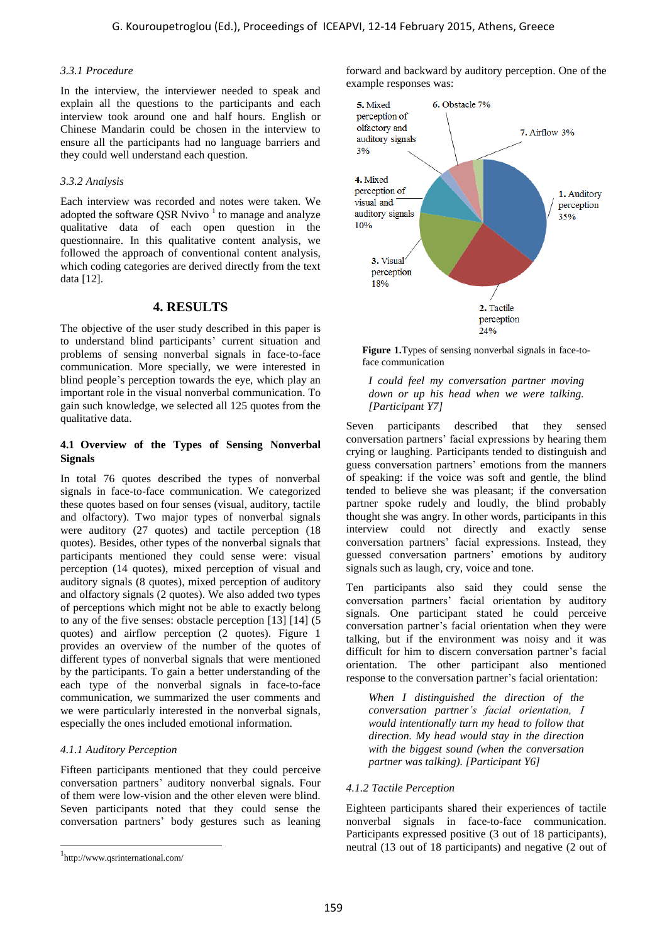#### *3.3.1 Procedure*

In the interview, the interviewer needed to speak and explain all the questions to the participants and each interview took around one and half hours. English or Chinese Mandarin could be chosen in the interview to ensure all the participants had no language barriers and they could well understand each question.

#### *3.3.2 Analysis*

Each interview was recorded and notes were taken. We adopted the software QSR Nvivo  $1$  to manage and analyze qualitative data of each open question in the questionnaire. In this qualitative content analysis, we followed the approach of conventional content analysis, which coding categories are derived directly from the text data [12].

### **4. RESULTS**

The objective of the user study described in this paper is to understand blind participants' current situation and problems of sensing nonverbal signals in face-to-face communication. More specially, we were interested in blind people's perception towards the eye, which play an important role in the visual nonverbal communication. To gain such knowledge, we selected all 125 quotes from the qualitative data.

#### **4.1 Overview of the Types of Sensing Nonverbal Signals**

In total 76 quotes described the types of nonverbal signals in face-to-face communication. We categorized these quotes based on four senses (visual, auditory, tactile and olfactory). Two major types of nonverbal signals were auditory (27 quotes) and tactile perception (18 quotes). Besides, other types of the nonverbal signals that participants mentioned they could sense were: visual perception (14 quotes), mixed perception of visual and auditory signals (8 quotes), mixed perception of auditory and olfactory signals (2 quotes). We also added two types of perceptions which might not be able to exactly belong to any of the five senses: obstacle perception [13] [14] (5 quotes) and airflow perception (2 quotes). Figure 1 provides an overview of the number of the quotes of different types of nonverbal signals that were mentioned by the participants. To gain a better understanding of the each type of the nonverbal signals in face-to-face communication, we summarized the user comments and we were particularly interested in the nonverbal signals, especially the ones included emotional information. G. Kouroupetroglou (Ed.), Proceedings of ICEAPVI, 12-14 February 2015, Athens, Greece 16.<br>
Some the interviewer metals on each scale that we can be expected in the transformation and the scale of the scale of the scale of

#### *4.1.1 Auditory Perception*

Fifteen participants mentioned that they could perceive conversation partners' auditory nonverbal signals. Four of them were low-vision and the other eleven were blind. Seven participants noted that they could sense the conversation partners' body gestures such as leaning

l

forward and backward by auditory perception. One of the example responses was:



<span id="page-2-0"></span>**Figure 1.**Types of sensing nonverbal signals in face-toface communication

*I could feel my conversation partner moving down or up his head when we were talking. [Participant Y7]* 

Seven participants described that they sensed conversation partners' facial expressions by hearing them crying or laughing. Participants tended to distinguish and guess conversation partners' emotions from the manners of speaking: if the voice was soft and gentle, the blind tended to believe she was pleasant; if the conversation partner spoke rudely and loudly, the blind probably thought she was angry. In other words, participants in this interview could not directly and exactly sense conversation partners' facial expressions. Instead, they guessed conversation partners' emotions by auditory signals such as laugh, cry, voice and tone.

Ten participants also said they could sense the conversation partners' facial orientation by auditory signals. One participant stated he could perceive conversation partner's facial orientation when they were talking, but if the environment was noisy and it was difficult for him to discern conversation partner's facial orientation. The other participant also mentioned response to the conversation partner's facial orientation:

*When I distinguished the direction of the conversation partner's facial orientation, I would intentionally turn my head to follow that direction. My head would stay in the direction with the biggest sound (when the conversation partner was talking). [Participant Y6]* 

#### *4.1.2 Tactile Perception*

Eighteen participants shared their experiences of tactile nonverbal signals in face-to-face communication. Participants expressed positive (3 out of 18 participants), neutral (13 out of 18 participants) and negative (2 out of

<sup>1</sup> http://www.qsrinternational.com/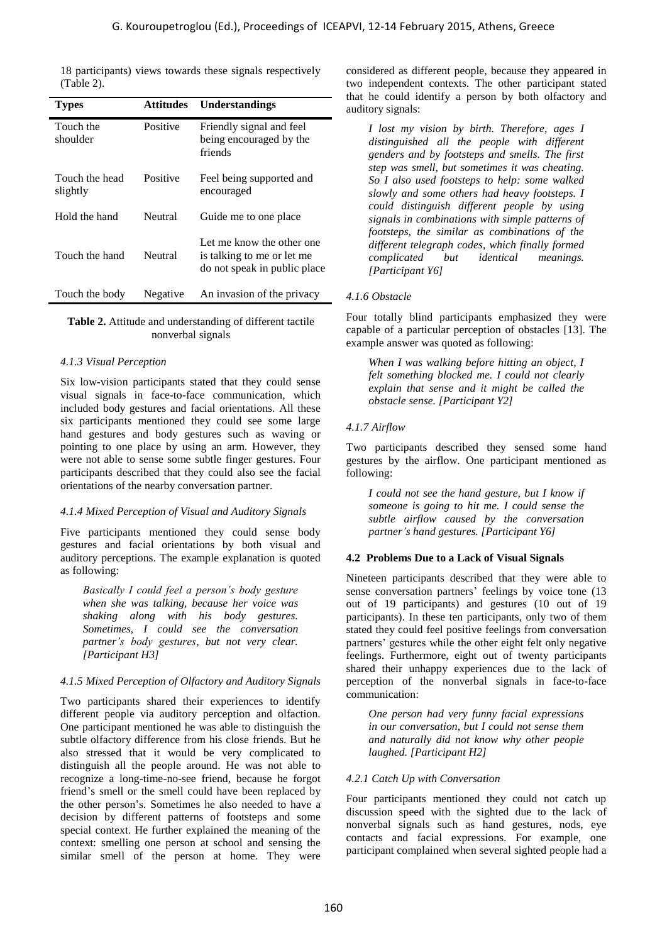| 18 participants) views towards these signals respectively<br>(Table 2).                                                                                                                                                                                                                                                                                   | considered as different people, because they a<br>two independent contexts. The other partici                                                                                                                                                                                                                                                                                                      |
|-----------------------------------------------------------------------------------------------------------------------------------------------------------------------------------------------------------------------------------------------------------------------------------------------------------------------------------------------------------|----------------------------------------------------------------------------------------------------------------------------------------------------------------------------------------------------------------------------------------------------------------------------------------------------------------------------------------------------------------------------------------------------|
| <b>Attitudes</b><br>Understandings<br><b>Types</b>                                                                                                                                                                                                                                                                                                        | that he could identify a person by both olf<br>auditory signals:                                                                                                                                                                                                                                                                                                                                   |
| Touch the<br>Positive<br>Friendly signal and feel<br>shoulder<br>being encouraged by the<br>friends                                                                                                                                                                                                                                                       | I lost my vision by birth. Therefore, a<br>distinguished all the people with dij<br>genders and by footsteps and smells. Th                                                                                                                                                                                                                                                                        |
| Positive<br>Touch the head<br>Feel being supported and<br>slightly<br>encouraged                                                                                                                                                                                                                                                                          | step was smell, but sometimes it was che<br>So I also used footsteps to help: some v<br>slowly and some others had heavy foots.<br>could distinguish different people by                                                                                                                                                                                                                           |
| Hold the hand<br>Neutral<br>Guide me to one place                                                                                                                                                                                                                                                                                                         | signals in combinations with simple patte<br>footsteps, the similar as combinations                                                                                                                                                                                                                                                                                                                |
| Let me know the other one<br>Neutral<br>Touch the hand<br>is talking to me or let me<br>do not speak in public place                                                                                                                                                                                                                                      | different telegraph codes, which finally f<br>identical<br>complicated<br>but<br>mea<br>[Participant Y6]                                                                                                                                                                                                                                                                                           |
| Negative<br>Touch the body<br>An invasion of the privacy                                                                                                                                                                                                                                                                                                  | 4.1.6 Obstacle                                                                                                                                                                                                                                                                                                                                                                                     |
| Table 2. Attitude and understanding of different tactile<br>nonverbal signals                                                                                                                                                                                                                                                                             | Four totally blind participants emphasized<br>capable of a particular perception of obstacle<br>example answer was quoted as following:                                                                                                                                                                                                                                                            |
| 4.1.3 Visual Perception<br>Six low-vision participants stated that they could sense<br>visual signals in face-to-face communication, which<br>included body gestures and facial orientations. All these                                                                                                                                                   | When I was walking before hitting an ob<br>felt something blocked me. I could not o<br>explain that sense and it might be call<br>obstacle sense. [Participant Y2]                                                                                                                                                                                                                                 |
| six participants mentioned they could see some large<br>hand gestures and body gestures such as waving or                                                                                                                                                                                                                                                 | 4.1.7 Airflow                                                                                                                                                                                                                                                                                                                                                                                      |
| pointing to one place by using an arm. However, they<br>were not able to sense some subtle finger gestures. Four<br>participants described that they could also see the facial                                                                                                                                                                            | Two participants described they sensed s<br>gestures by the airflow. One participant me<br>following:                                                                                                                                                                                                                                                                                              |
| orientations of the nearby conversation partner.<br>4.1.4 Mixed Perception of Visual and Auditory Signals                                                                                                                                                                                                                                                 | I could not see the hand gesture, but I k<br>someone is going to hit me. I could sen<br>subtle airflow caused by the conver                                                                                                                                                                                                                                                                        |
| Five participants mentioned they could sense body<br>gestures and facial orientations by both visual and                                                                                                                                                                                                                                                  | partner's hand gestures. [Participant Y6]                                                                                                                                                                                                                                                                                                                                                          |
| auditory perceptions. The example explanation is quoted<br>as following:                                                                                                                                                                                                                                                                                  | 4.2 Problems Due to a Lack of Visual Signa                                                                                                                                                                                                                                                                                                                                                         |
| Basically I could feel a person's body gesture<br>when she was talking, because her voice was<br>shaking along with his body gestures.<br>Sometimes, I could see the conversation<br>partner's body gestures, but not very clear.<br>[Participant H3]                                                                                                     | Nineteen participants described that they we<br>sense conversation partners' feelings by voic<br>out of 19 participants) and gestures (10<br>participants). In these ten participants, only to<br>stated they could feel positive feelings from co<br>partners' gestures while the other eight felt on<br>feelings. Furthermore, eight out of twenty<br>shared their unhappy experiences due to tl |
| 4.1.5 Mixed Perception of Olfactory and Auditory Signals                                                                                                                                                                                                                                                                                                  | perception of the nonverbal signals in f<br>communication:                                                                                                                                                                                                                                                                                                                                         |
| Two participants shared their experiences to identify<br>different people via auditory perception and olfaction.<br>One participant mentioned he was able to distinguish the<br>subtle olfactory difference from his close friends. But he<br>also stressed that it would be very complicated to<br>distinguish all the people around. He was not able to | One person had very funny facial expre<br>in our conversation, but I could not sense<br>and naturally did not know why other p<br>laughed. [Participant H2]                                                                                                                                                                                                                                        |
| recognize a long-time-no-see friend, because he forgot                                                                                                                                                                                                                                                                                                    | 4.2.1 Catch Up with Conversation                                                                                                                                                                                                                                                                                                                                                                   |
| friend's smell or the smell could have been replaced by<br>the other person's. Sometimes he also needed to have a<br>decision by different patterns of footsteps and some<br>special context. He further explained the meaning of the<br>context: smelling one person at school and sensing the<br>similar smell of the person at home. They were         | Four participants mentioned they could not<br>discussion speed with the sighted due to t<br>nonverbal signals such as hand gestures,<br>contacts and facial expressions. For exa<br>participant complained when several sighted p                                                                                                                                                                  |

#### <span id="page-3-0"></span>**Table 2.** Attitude and understanding of different tactile nonverbal signals

#### *4.1.3 Visual Perception*

#### *4.1.4 Mixed Perception of Visual and Auditory Signals*

#### *4.1.5 Mixed Perception of Olfactory and Auditory Signals*

considered as different people, because they appeared in two independent contexts. The other participant stated that he could identify a person by both olfactory and auditory signals:

*I lost my vision by birth. Therefore, ages I distinguished all the people with different genders and by footsteps and smells. The first step was smell, but sometimes it was cheating. So I also used footsteps to help: some walked slowly and some others had heavy footsteps. I could distinguish different people by using signals in combinations with simple patterns of footsteps, the similar as combinations of the different telegraph codes, which finally formed complicated but identical meanings. [Participant Y6]* 

#### *4.1.6 Obstacle*

Four totally blind participants emphasized they were capable of a particular perception of obstacles [13]. The example answer was quoted as following:

*When I was walking before hitting an object, I felt something blocked me. I could not clearly explain that sense and it might be called the obstacle sense. [Participant Y2]* 

### *4.1.7 Airflow*

Two participants described they sensed some hand gestures by the airflow. One participant mentioned as following:

*I could not see the hand gesture, but I know if someone is going to hit me. I could sense the subtle airflow caused by the conversation partner's hand gestures. [Participant Y6]* 

#### **4.2 Problems Due to a Lack of Visual Signals**

Nineteen participants described that they were able to sense conversation partners' feelings by voice tone (13 out of 19 participants) and gestures (10 out of 19 participants). In these ten participants, only two of them stated they could feel positive feelings from conversation partners' gestures while the other eight felt only negative feelings. Furthermore, eight out of twenty participants shared their unhappy experiences due to the lack of perception of the nonverbal signals in face-to-face communication:

*One person had very funny facial expressions in our conversation, but I could not sense them and naturally did not know why other people laughed. [Participant H2]* 

#### *4.2.1 Catch Up with Conversation*

Four participants mentioned they could not catch up discussion speed with the sighted due to the lack of nonverbal signals such as hand gestures, nods, eye contacts and facial expressions. For example, one participant complained when several sighted people had a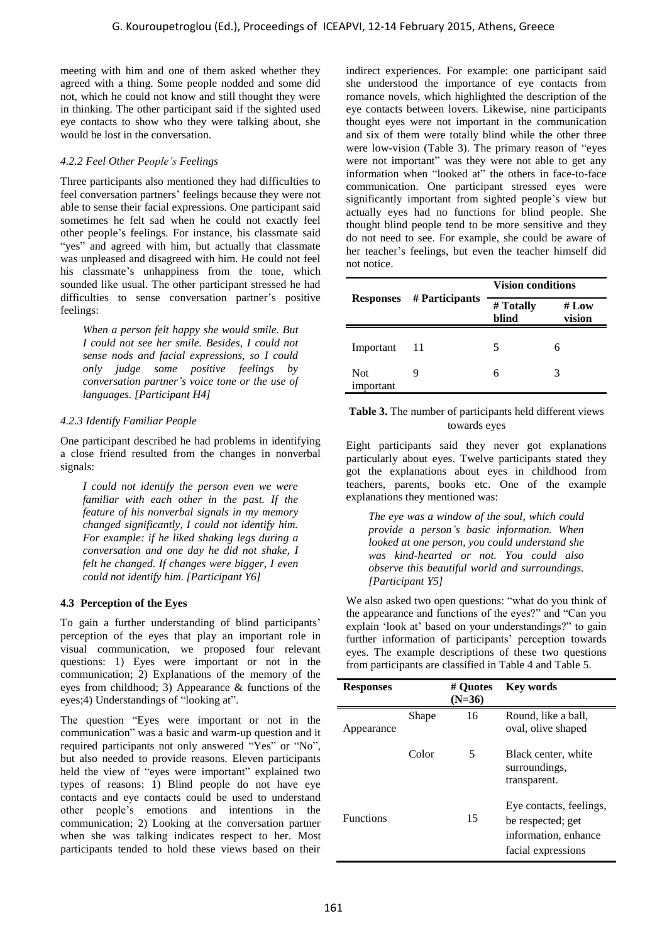meeting with him and one of them asked whether they agreed with a thing. Some people nodded and some did not, which he could not know and still thought they were in thinking. The other participant said if the sighted used eye contacts to show who they were talking about, she would be lost in the conversation.

### *4.2.2 Feel Other People's Feelings*

Three participants also mentioned they had difficulties to feel conversation partners' feelings because they were not able to sense their facial expressions. One participant said sometimes he felt sad when he could not exactly feel other people's feelings. For instance, his classmate said "yes" and agreed with him, but actually that classmate was unpleased and disagreed with him. He could not feel his classmate's unhappiness from the tone, which sounded like usual. The other participant stressed he had difficulties to sense conversation partner's positive feelings:

*When a person felt happy she would smile. But I could not see her smile. Besides, I could not sense nods and facial expressions, so I could only judge some positive feelings by conversation partner's voice tone or the use of languages. [Participant H4]* 

### *4.2.3 Identify Familiar People*

One participant described he had problems in identifying a close friend resulted from the changes in nonverbal signals:

*I could not identify the person even we were familiar with each other in the past. If the feature of his nonverbal signals in my memory changed significantly, I could not identify him. For example: if he liked shaking legs during a conversation and one day he did not shake, I felt he changed. If changes were bigger, I even could not identify him. [Participant Y6]* 

# **4.3 Perception of the Eyes**

To gain a further understanding of blind participants' perception of the eyes that play an important role in visual communication, we proposed four relevant questions: 1) Eyes were important or not in the communication; 2) Explanations of the memory of the eyes from childhood; 3) Appearance & functions of the eyes;4) Understandings of "looking at".

The question "Eyes were important or not in the communication" was a basic and warm-up question and it required participants not only answered "Yes" or "No", but also needed to provide reasons. Eleven participants held the view of "eyes were important" explained two types of reasons: 1) Blind people do not have eye contacts and eye contacts could be used to understand other people's emotions and intentions in the communication; 2) Looking at the conversation partner when she was talking indicates respect to her. Most participants tended to hold these views based on their

indirect experiences. For example: one participant said she understood the importance of eye contacts from romance novels, which highlighted the description of the eye contacts between lovers. Likewise, nine participants thought eyes were not important in the communication and six of them were totally blind while the other three were low-vision (Table 3). The primary reason of "eyes were not important" was they were not able to get any information when "looked at" the others in face-to-face communication. One participant stressed eyes were significantly important from sighted people's view but actually eyes had no functions for blind people. She thought blind people tend to be more sensitive and they do not need to see. For example, she could be aware of her teacher's feelings, but even the teacher himself did not notice. G. Kouroupetroglou (Ed.), Proceedings of ICEAPVI, 12-14 February 2015, Athens, Greece 161<br>
in Nim and conserve the proposedio and once 461 in Nim and conserve the range of a proposedio and the serve in the serve in the se

|                         |                | <b>Vision conditions</b> |                |  |  |
|-------------------------|----------------|--------------------------|----------------|--|--|
| <b>Responses</b>        | # Participants | # Totally<br>blind       | #Low<br>vision |  |  |
| Important               | 11             | 5                        | 6              |  |  |
| <b>Not</b><br>important |                | 6                        | 3              |  |  |

#### <span id="page-4-0"></span>**Table 3.** The number of participants held different views towards eyes

Eight participants said they never got explanations particularly about eyes. Twelve participants stated they got the explanations about eyes in childhood from teachers, parents, books etc. One of the example explanations they mentioned was:

*The eye was a window of the soul, which could provide a person's basic information. When looked at one person, you could understand she was kind-hearted or not. You could also observe this beautiful world and surroundings. [Participant Y5]* 

We also asked two open questions: "what do you think of the appearance and functions of the eyes?" and "Can you explain 'look at' based on your understandings?" to gain further information of participants' perception towards eyes. The example descriptions of these two questions from participants are classified in Table 4 and Table 5.

| <b>Responses</b> |       | # Ouotes<br>$(N=36)$ | <b>Key words</b>                                                                           |
|------------------|-------|----------------------|--------------------------------------------------------------------------------------------|
| ppearance        | Shape | 16                   | Round, like a ball,<br>oval, olive shaped                                                  |
|                  | Color | 5                    | Black center, white<br>surroundings,<br>transparent.                                       |
| <b>Functions</b> |       | 15                   | Eye contacts, feelings,<br>be respected; get<br>information, enhance<br>facial expressions |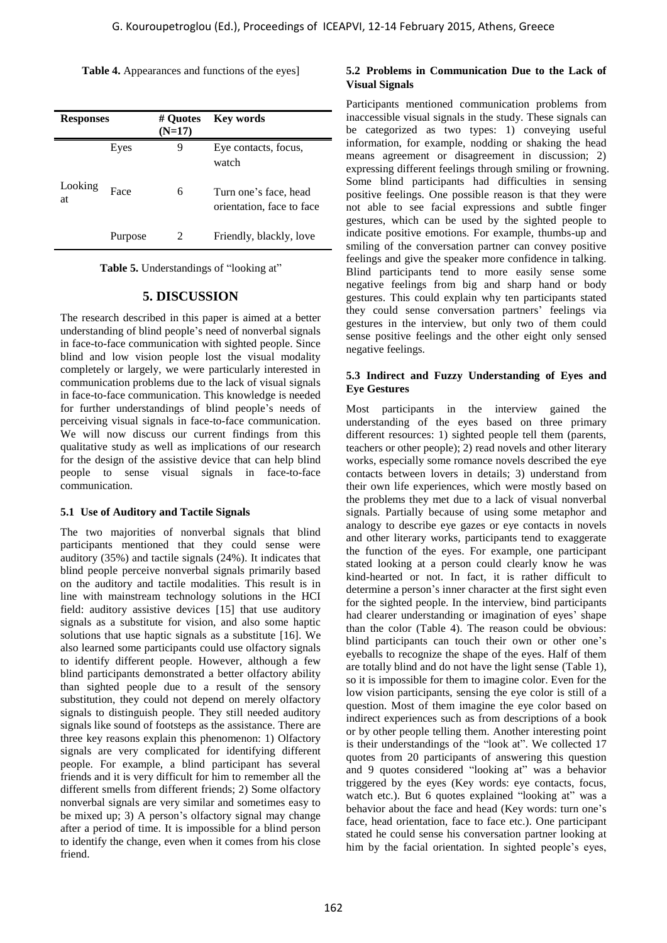<span id="page-5-0"></span>Table 4. Appearances and functions of the eyes<sup>1</sup>

| <b>Responses</b> |         | # Quotes<br>$(N=17)$ | <b>Key words</b>                                   |
|------------------|---------|----------------------|----------------------------------------------------|
|                  | Eyes    | 9                    | Eye contacts, focus,<br>watch                      |
| Looking<br>at    | Face    | 6                    | Turn one's face, head<br>orientation, face to face |
|                  | Purpose | 2                    | Friendly, blackly, love                            |

**Table 5.** Understandings of "looking at"

# **5. DISCUSSION**

The research described in this paper is aimed at a better understanding of blind people's need of nonverbal signals in face-to-face communication with sighted people. Since blind and low vision people lost the visual modality completely or largely, we were particularly interested in communication problems due to the lack of visual signals in face-to-face communication. This knowledge is needed for further understandings of blind people's needs of perceiving visual signals in face-to-face communication. We will now discuss our current findings from this qualitative study as well as implications of our research for the design of the assistive device that can help blind people to sense visual signals in face-to-face communication.

#### **5.1 Use of Auditory and Tactile Signals**

The two majorities of nonverbal signals that blind participants mentioned that they could sense were auditory (35%) and tactile signals (24%). It indicates that blind people perceive nonverbal signals primarily based on the auditory and tactile modalities. This result is in line with mainstream technology solutions in the HCI field: auditory assistive devices [15] that use auditory signals as a substitute for vision, and also some haptic solutions that use haptic signals as a substitute [16]. We also learned some participants could use olfactory signals to identify different people. However, although a few blind participants demonstrated a better olfactory ability than sighted people due to a result of the sensory substitution, they could not depend on merely olfactory signals to distinguish people. They still needed auditory signals like sound of footsteps as the assistance. There are three key reasons explain this phenomenon: 1) Olfactory signals are very complicated for identifying different people. For example, a blind participant has several friends and it is very difficult for him to remember all the different smells from different friends; 2) Some olfactory nonverbal signals are very similar and sometimes easy to be mixed up; 3) A person's olfactory signal may change after a period of time. It is impossible for a blind person to identify the change, even when it comes from his close friend.

#### **5.2 Problems in Communication Due to the Lack of Visual Signals**

Participants mentioned communication problems from inaccessible visual signals in the study. These signals can be categorized as two types: 1) conveying useful information, for example, nodding or shaking the head means agreement or disagreement in discussion; 2) expressing different feelings through smiling or frowning. Some blind participants had difficulties in sensing positive feelings. One possible reason is that they were not able to see facial expressions and subtle finger gestures, which can be used by the sighted people to indicate positive emotions. For example, thumbs-up and smiling of the conversation partner can convey positive feelings and give the speaker more confidence in talking. Blind participants tend to more easily sense some negative feelings from big and sharp hand or body gestures. This could explain why ten participants stated they could sense conversation partners' feelings via gestures in the interview, but only two of them could sense positive feelings and the other eight only sensed negative feelings.

#### **5.3 Indirect and Fuzzy Understanding of Eyes and Eye Gestures**

Most participants in the interview gained the understanding of the eyes based on three primary different resources: 1) sighted people tell them (parents, teachers or other people); 2) read novels and other literary works, especially some romance novels described the eye contacts between lovers in details; 3) understand from their own life experiences, which were mostly based on the problems they met due to a lack of visual nonverbal signals. Partially because of using some metaphor and analogy to describe eye gazes or eye contacts in novels and other literary works, participants tend to exaggerate the function of the eyes. For example, one participant stated looking at a person could clearly know he was kind-hearted or not. In fact, it is rather difficult to determine a person's inner character at the first sight even for the sighted people. In the interview, bind participants had clearer understanding or imagination of eyes' shape than the color (Table 4). The reason could be obvious: blind participants can touch their own or other one's eyeballs to recognize the shape of the eyes. Half of them are totally blind and do not have the light sense [\(Table 1\)](#page-1-0), so it is impossible for them to imagine color. Even for the low vision participants, sensing the eye color is still of a question. Most of them imagine the eye color based on indirect experiences such as from descriptions of a book or by other people telling them. Another interesting point is their understandings of the "look at". We collected 17 quotes from 20 participants of answering this question and 9 quotes considered "looking at" was a behavior triggered by the eyes (Key words: eye contacts, focus, watch etc.). But 6 quotes explained "looking at" was a behavior about the face and head (Key words: turn one's face, head orientation, face to face etc.). One participant stated he could sense his conversation partner looking at him by the facial orientation. In sighted people's eyes, G. Kouroupetroglou (Ed.), Proceedings of ICEAPVI, 12-14 February 2015, Athens, Greece 162<br>
A Appearance and finctions of the specific scale of communications particles in the specific scale of continued in particles and t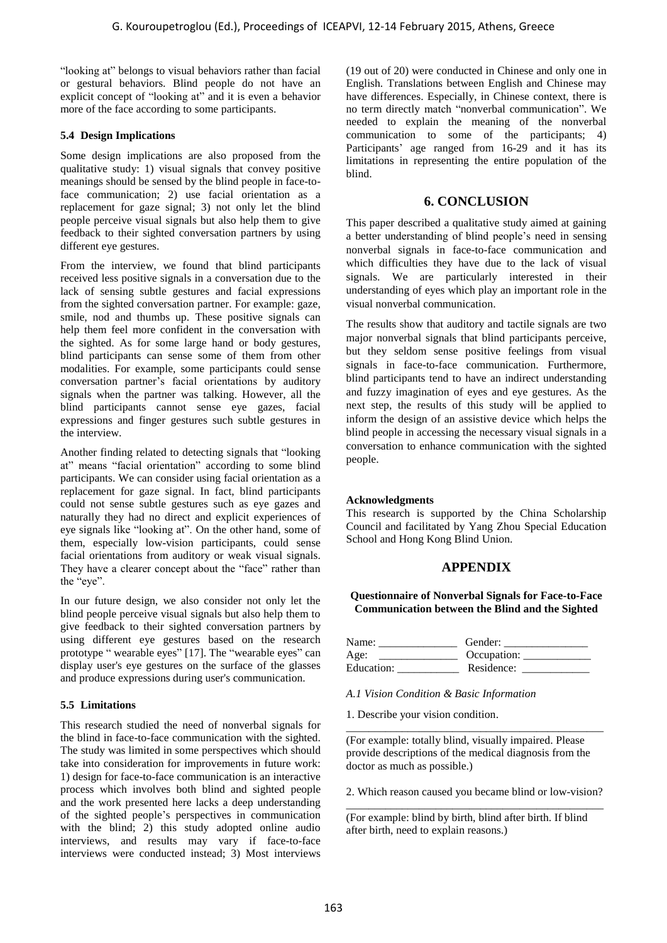"looking at" belongs to visual behaviors rather than facial or gestural behaviors. Blind people do not have an explicit concept of "looking at" and it is even a behavior more of the face according to some participants.

#### **5.4 Design Implications**

Some design implications are also proposed from the qualitative study: 1) visual signals that convey positive meanings should be sensed by the blind people in face-toface communication; 2) use facial orientation as a replacement for gaze signal; 3) not only let the blind people perceive visual signals but also help them to give feedback to their sighted conversation partners by using different eye gestures.

From the interview, we found that blind participants received less positive signals in a conversation due to the lack of sensing subtle gestures and facial expressions from the sighted conversation partner. For example: gaze, smile, nod and thumbs up. These positive signals can help them feel more confident in the conversation with the sighted. As for some large hand or body gestures, blind participants can sense some of them from other modalities. For example, some participants could sense conversation partner's facial orientations by auditory signals when the partner was talking. However, all the blind participants cannot sense eye gazes, facial expressions and finger gestures such subtle gestures in the interview. G. Kouroupetroglou (Ed.), Proceedings of ICEAPVI, 12-14 February 2015, Athens, Greece 163<br>
Nelson, Works: Nelson, Works: New Yorks: New Yorks: New Yorks: New Yorks: New Yorks: New Yorks: New Yorks: New Yorks: New Yorks: N

Another finding related to detecting signals that "looking at" means "facial orientation" according to some blind participants. We can consider using facial orientation as a replacement for gaze signal. In fact, blind participants could not sense subtle gestures such as eye gazes and naturally they had no direct and explicit experiences of eye signals like "looking at". On the other hand, some of them, especially low-vision participants, could sense facial orientations from auditory or weak visual signals. They have a clearer concept about the "face" rather than the "eye".

In our future design, we also consider not only let the blind people perceive visual signals but also help them to give feedback to their sighted conversation partners by using different eye gestures based on the research prototype " wearable eyes" [17]. The "wearable eyes" can display user's eye gestures on the surface of the glasses and produce expressions during user's communication.

#### **5.5 Limitations**

This research studied the need of nonverbal signals for the blind in face-to-face communication with the sighted. The study was limited in some perspectives which should take into consideration for improvements in future work: 1) design for face-to-face communication is an interactive process which involves both blind and sighted people and the work presented here lacks a deep understanding of the sighted people's perspectives in communication with the blind; 2) this study adopted online audio interviews, and results may vary if face-to-face interviews were conducted instead; 3) Most interviews (19 out of 20) were conducted in Chinese and only one in English. Translations between English and Chinese may have differences. Especially, in Chinese context, there is no term directly match "nonverbal communication". We needed to explain the meaning of the nonverbal communication to some of the participants; 4) Participants' age ranged from 16-29 and it has its limitations in representing the entire population of the blind.

#### **6. CONCLUSION**

This paper described a qualitative study aimed at gaining a better understanding of blind people's need in sensing nonverbal signals in face-to-face communication and which difficulties they have due to the lack of visual signals. We are particularly interested in their understanding of eyes which play an important role in the visual nonverbal communication.

The results show that auditory and tactile signals are two major nonverbal signals that blind participants perceive, but they seldom sense positive feelings from visual signals in face-to-face communication. Furthermore, blind participants tend to have an indirect understanding and fuzzy imagination of eyes and eye gestures. As the next step, the results of this study will be applied to inform the design of an assistive device which helps the blind people in accessing the necessary visual signals in a conversation to enhance communication with the sighted people.

#### **Acknowledgments**

This research is supported by the China Scholarship Council and facilitated by Yang Zhou Special Education School and Hong Kong Blind Union.

# **APPENDIX**

**Questionnaire of Nonverbal Signals for Face-to-Face Communication between the Blind and the Sighted** 

| Name:      | Gender:     |
|------------|-------------|
| Age:       | Occupation: |
| Education: | Residence:  |

*A.1 Vision Condition & Basic Information* 

1. Describe your vision condition.

(For example: totally blind, visually impaired. Please provide descriptions of the medical diagnosis from the doctor as much as possible.)

\_\_\_\_\_\_\_\_\_\_\_\_\_\_\_\_\_\_\_\_\_\_\_\_\_\_\_\_\_\_\_\_\_\_\_\_\_\_\_\_\_\_\_\_\_\_

2. Which reason caused you became blind or low-vision? \_\_\_\_\_\_\_\_\_\_\_\_\_\_\_\_\_\_\_\_\_\_\_\_\_\_\_\_\_\_\_\_\_\_\_\_\_\_\_\_\_\_\_\_\_\_

(For example: blind by birth, blind after birth. If blind after birth, need to explain reasons.)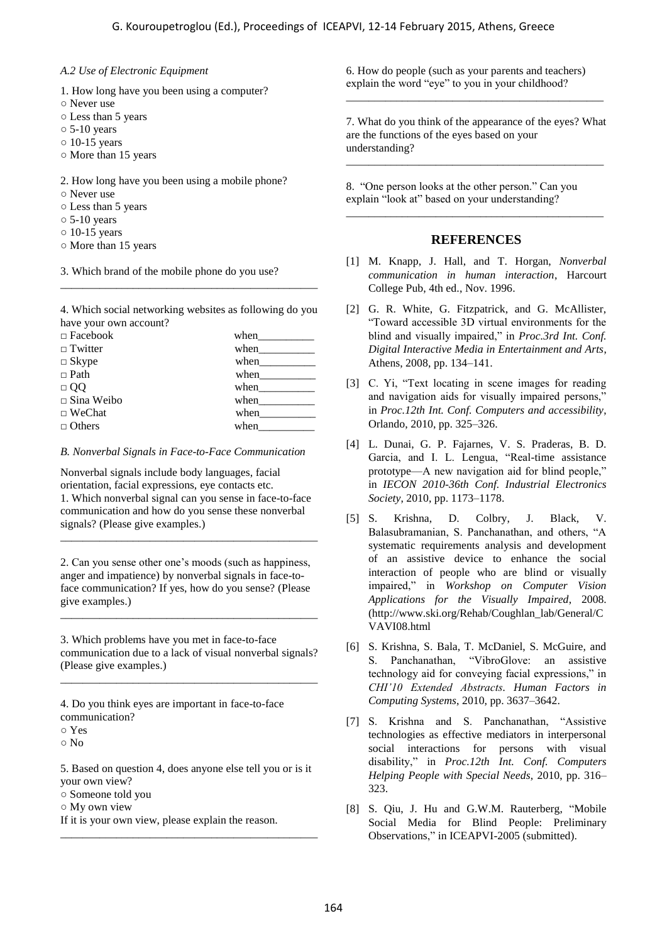#### *A.2 Use of Electronic Equipment*

- 1. How long have you been using a computer?
- Never use
- Less than 5 years
- $\circ$  5-10 years
- $\circ$  10-15 years
- More than 15 years

2. How long have you been using a mobile phone?

- Never use
- Less than 5 years
- $\circ$  5-10 years
- $\circ$  10-15 years
- More than 15 years

3. Which brand of the mobile phone do you use?

4. Which social networking websites as following do you have your own account?

\_\_\_\_\_\_\_\_\_\_\_\_\_\_\_\_\_\_\_\_\_\_\_\_\_\_\_\_\_\_\_\_\_\_\_\_\_\_\_\_\_\_\_\_\_\_

| $\Box$ Facebook      | when |
|----------------------|------|
| $\Box$ Twitter       | when |
| $\Box$ Skype         | when |
| $\Box$ Path          | when |
| $\Box$ 00            | when |
| $\square$ Sina Weibo | when |
| $\Box$ WeChat        | when |
| $\Box$ Others        | when |

#### *B. Nonverbal Signals in Face-to-Face Communication*

Nonverbal signals include body languages, facial orientation, facial expressions, eye contacts etc. 1. Which nonverbal signal can you sense in face-to-face communication and how do you sense these nonverbal signals? (Please give examples.)

\_\_\_\_\_\_\_\_\_\_\_\_\_\_\_\_\_\_\_\_\_\_\_\_\_\_\_\_\_\_\_\_\_\_\_\_\_\_\_\_\_\_\_\_\_\_

2. Can you sense other one's moods (such as happiness, anger and impatience) by nonverbal signals in face-toface communication? If yes, how do you sense? (Please give examples.)

3. Which problems have you met in face-to-face communication due to a lack of visual nonverbal signals? (Please give examples.)

\_\_\_\_\_\_\_\_\_\_\_\_\_\_\_\_\_\_\_\_\_\_\_\_\_\_\_\_\_\_\_\_\_\_\_\_\_\_\_\_\_\_\_\_\_\_

\_\_\_\_\_\_\_\_\_\_\_\_\_\_\_\_\_\_\_\_\_\_\_\_\_\_\_\_\_\_\_\_\_\_\_\_\_\_\_\_\_\_\_\_\_\_

4. Do you think eyes are important in face-to-face communication?

5. Based on question 4, does anyone else tell you or is it your own view?

\_\_\_\_\_\_\_\_\_\_\_\_\_\_\_\_\_\_\_\_\_\_\_\_\_\_\_\_\_\_\_\_\_\_\_\_\_\_\_\_\_\_\_\_\_\_

- Someone told you
- My own view

If it is your own view, please explain the reason.

6. How do people (such as your parents and teachers) explain the word "eye" to you in your childhood?

7. What do you think of the appearance of the eyes? What are the functions of the eyes based on your understanding?

\_\_\_\_\_\_\_\_\_\_\_\_\_\_\_\_\_\_\_\_\_\_\_\_\_\_\_\_\_\_\_\_\_\_\_\_\_\_\_\_\_\_\_\_\_\_

\_\_\_\_\_\_\_\_\_\_\_\_\_\_\_\_\_\_\_\_\_\_\_\_\_\_\_\_\_\_\_\_\_\_\_\_\_\_\_\_\_\_\_\_\_\_

8. "One person looks at the other person." Can you explain "look at" based on your understanding?

#### **REFERENCES**

\_\_\_\_\_\_\_\_\_\_\_\_\_\_\_\_\_\_\_\_\_\_\_\_\_\_\_\_\_\_\_\_\_\_\_\_\_\_\_\_\_\_\_\_\_\_

- [1] M. Knapp, J. Hall, and T. Horgan, *Nonverbal communication in human interaction*, Harcourt College Pub, 4th ed., Nov. 1996.
- [2] G. R. White, G. Fitzpatrick, and G. McAllister, "Toward accessible 3D virtual environments for the blind and visually impaired," in *Proc.3rd Int. Conf. Digital Interactive Media in Entertainment and Arts*, Athens, 2008, pp. 134–141.
- [3] C. Yi, "Text locating in scene images for reading and navigation aids for visually impaired persons," in *Proc.12th Int. Conf. Computers and accessibility*, Orlando, 2010, pp. 325–326.
- [4] L. Dunai, G. P. Fajarnes, V. S. Praderas, B. D. Garcia, and I. L. Lengua, "Real-time assistance prototype—A new navigation aid for blind people," in *IECON 2010-36th Conf. Industrial Electronics Society*, 2010, pp. 1173–1178.
- [5] S. Krishna, D. Colbry, J. Black, V. Balasubramanian, S. Panchanathan, and others, "A systematic requirements analysis and development of an assistive device to enhance the social interaction of people who are blind or visually impaired," in *Workshop on Computer Vision Applications for the Visually Impaired*, 2008. [\(http://www.ski.org/Rehab/Coughlan\\_lab/General/C](http://www.ski.org/Rehab/Coughlan_lab/General/CVAVI08.html) VAVI08.html G. Kouroupetroglou (Ed.), Proceedings of ICEAPVI, 12-14 February 2015, Athens, Greece 164<br>
Excreme Equipment (Aliso methods are proposed to the Angeles Constrained Theorem (Aliso methods are proposed not be the Constraine
	- [6] S. Krishna, S. Bala, T. McDaniel, S. McGuire, and S. Panchanathan, "VibroGlove: an assistive technology aid for conveying facial expressions," in *CHI'10 Extended Abstracts. Human Factors in Computing Systems*, 2010, pp. 3637–3642.
	- [7] S. Krishna and S. Panchanathan, "Assistive technologies as effective mediators in interpersonal social interactions for persons with visual disability," in *Proc.12th Int. Conf. Computers Helping People with Special Needs*, 2010, pp. 316– 323.
	- [8] S. Qiu, J. Hu and G.W.M. Rauterberg, "Mobile Social Media for Blind People: Preliminary Observations," in ICEAPVI-2005 (submitted).

<sup>○</sup> Yes

<sup>○</sup> No